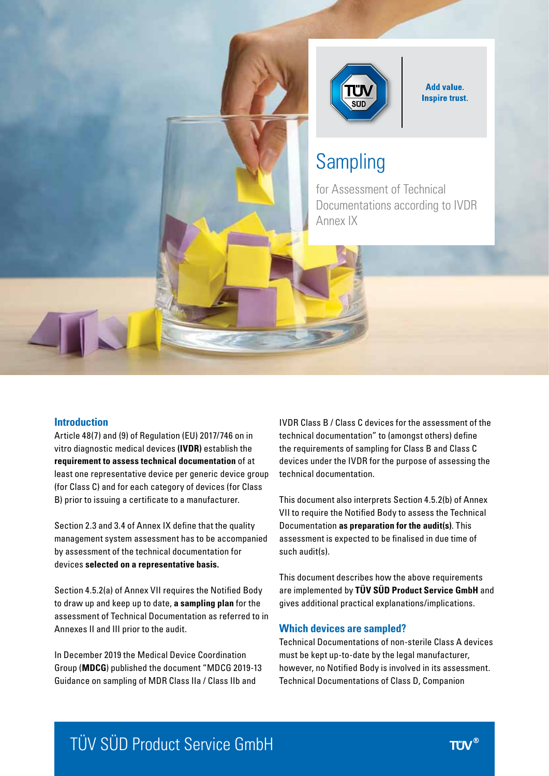

**Add value. Inspire trust.** 

# **Sampling**

for Assessment of Technical Documentations according to IVDR Annex IX

#### **Introduction**

Article 48(7) and (9) of Regulation (EU) 2017/746 on in vitro diagnostic medical devices **(IVDR)** establish the **requirement to assess technical documentation** of at least one representative device per generic device group (for Class C) and for each category of devices (for Class B) prior to issuing a certificate to a manufacturer.

Section 2.3 and 3.4 of Annex IX define that the quality management system assessment has to be accompanied by assessment of the technical documentation for devices **selected on a representative basis.**

Section 4.5.2(a) of Annex VII requires the Notified Body to draw up and keep up to date, **a sampling plan** for the assessment of Technical Documentation as referred to in Annexes II and III prior to the audit.

In December 2019 the Medical Device Coordination Group (**MDCG**) published the document "MDCG 2019-13 Guidance on sampling of MDR Class IIa / Class IIb and

IVDR Class B / Class C devices for the assessment of the technical documentation" to (amongst others) define the requirements of sampling for Class B and Class C devices under the IVDR for the purpose of assessing the technical documentation.

This document also interprets Section 4.5.2(b) of Annex VII to require the Notified Body to assess the Technical Documentation **as preparation for the audit(s)**. This assessment is expected to be finalised in due time of such audit(s).

This document describes how the above requirements are implemented by **TÜV SÜD Product Service GmbH** and gives additional practical explanations/implications.

#### **Which devices are sampled?**

Technical Documentations of non-sterile Class A devices must be kept up-to-date by the legal manufacturer, however, no Notified Body is involved in its assessment. Technical Documentations of Class D, Companion

# TÜV SÜD Product Service GmbH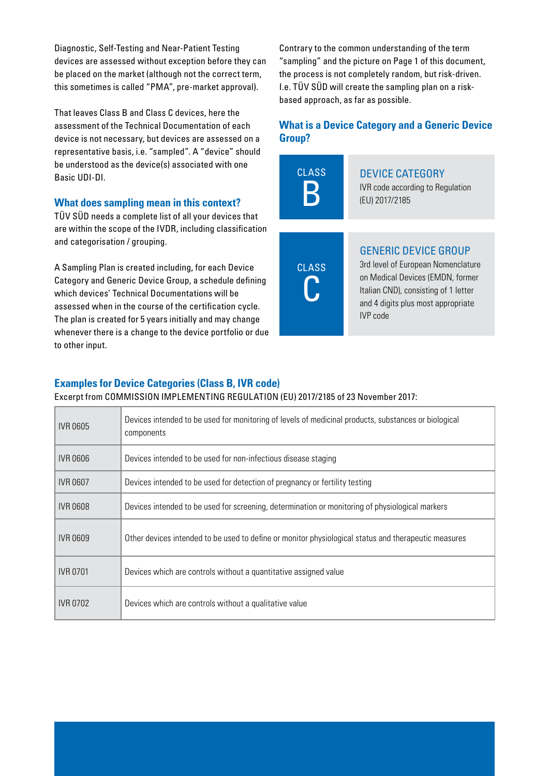Diagnostic, Self-Testing and Near-Patient Testing devices are assessed without exception before they can be placed on the market (although not the correct term, this sometimes is called "PMA", pre-market approval).

That leaves Class B and Class C devices, here the assessment of the Technical Documentation of each device is not necessary, but devices are assessed on a representative basis, i.e. "sampled". A "device" should be understood as the device(s) associated with one Basic UDI-DI.

#### **What does sampling mean in this context?**

TÜV SÜD needs a complete list of all your devices that are within the scope of the IVDR, including classification and categorisation / grouping.

A Sampling Plan is created including, for each Device Category and Generic Device Group, a schedule defining which devices' Technical Documentations will be assessed when in the course of the certification cycle. The plan is created for 5 years initially and may change whenever there is a change to the device portfolio or due to other input.

Contrary to the common understanding of the term "sampling" and the picture on Page 1 of this document, the process is not completely random, but risk-driven. I.e. TÜV SÜD will create the sampling plan on a riskbased approach, as far as possible.

## **What is a Device Category and a Generic Device Group?**



# Device Category

IVR code according to Regulation (EU) 2017/2185



### Generic Device Group

3rd level of European Nomenclature on Medical Devices (EMDN, former Italian CND), consisting of 1 letter and 4 digits plus most appropriate IVP code

# **Examples for Device Categories (Class B, IVR code)**

Excerpt from COMMISSION IMPLEMENTING REGULATION (EU) 2017/2185 of 23 November 2017:

| <b>IVR 0605</b> | Devices intended to be used for monitoring of levels of medicinal products, substances or biological<br>components |  |  |
|-----------------|--------------------------------------------------------------------------------------------------------------------|--|--|
| IVR 0606        | Devices intended to be used for non-infectious disease staging                                                     |  |  |
| <b>IVR 0607</b> | Devices intended to be used for detection of pregnancy or fertility testing                                        |  |  |
| <b>IVR 0608</b> | Devices intended to be used for screening, determination or monitoring of physiological markers                    |  |  |
| IVR 0609        | Other devices intended to be used to define or monitor physiological status and therapeutic measures               |  |  |
| <b>IVR 0701</b> | Devices which are controls without a quantitative assigned value                                                   |  |  |
| <b>IVR 0702</b> | Devices which are controls without a qualitative value                                                             |  |  |